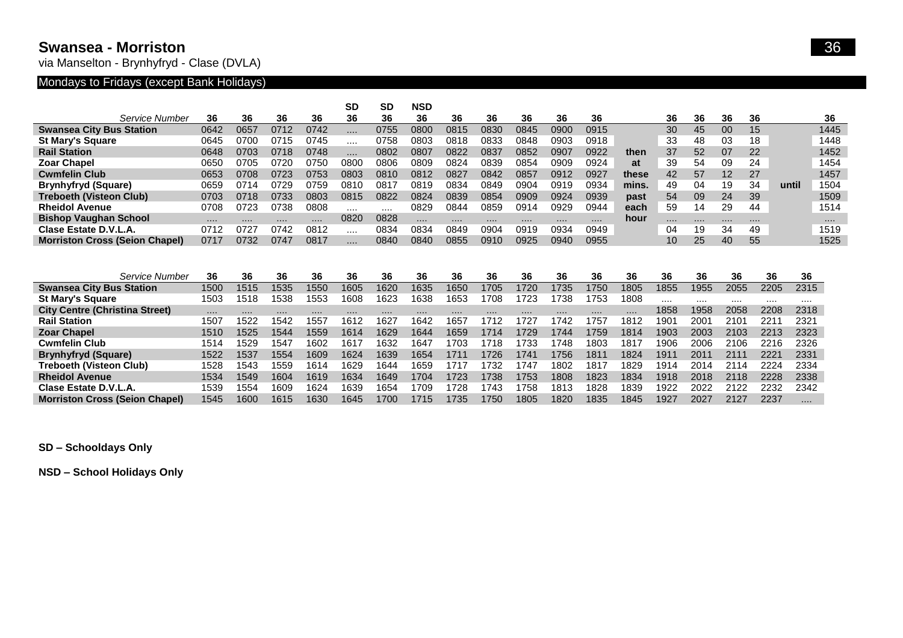#### **Swansea - Morriston** 36

via Manselton - Brynhyfryd - Clase (DVLA)

### Mondays to Fridays (except Bank Holidays)

|                                       |          |      |      |      | <b>SD</b> | <b>SD</b> | <b>NSD</b> |          |      |          |      |      |       |                  |      |      |      |       |      |  |
|---------------------------------------|----------|------|------|------|-----------|-----------|------------|----------|------|----------|------|------|-------|------------------|------|------|------|-------|------|--|
| Service Number                        | 36       | 36   | 36   | 36   | 36        | 36        | 36         | 36       | 36   | 36       | 36   | 36   |       | 36               | 36   | 36   | 36   |       | 36   |  |
| <b>Swansea City Bus Station</b>       | 0642     | 0657 | 0712 | 0742 |           | 0755      | 0800       | 0815     | 0830 | 0845     | 0900 | 0915 |       | 30               | 45   | 00   | 15   |       | 1445 |  |
| <b>St Mary's Square</b>               | 0645     | 0700 | 0715 | 0745 |           | 0758      | 0803       | 0818     | 0833 | 0848     | 0903 | 0918 |       | 33               | 48   | 03   | 18   |       | 1448 |  |
| <b>Rail Station</b>                   | 0648     | 0703 | 0718 | 0748 |           | 0802      | 0807       | 0822     | 0837 | 0852     | 0907 | 0922 | then  | 37               | 52   | 07   | 22   |       | 1452 |  |
| <b>Zoar Chapel</b>                    | 0650     | 0705 | 0720 | 0750 | 0800      | 0806      | 0809       | 0824     | 0839 | 0854     | 0909 | 0924 | at    | 39               | 54   | 09   | 24   |       | 1454 |  |
| <b>Cwmfelin Club</b>                  | 0653     | 0708 | 0723 | 0753 | 0803      | 0810      | 0812       | 0827     | 0842 | 0857     | 0912 | 0927 | these | 42               | 57   | 12   | 27   |       | 1457 |  |
| <b>Brynhyfryd (Square)</b>            | 0659     | 0714 | 0729 | 0759 | 0810      | 0817      | 0819       | 0834     | 0849 | 0904     | 0919 | 0934 | mins. | 49               | 04   | 19   | 34   | until | 1504 |  |
| <b>Treboeth (Visteon Club)</b>        | 0703     | 0718 | 0733 | 0803 | 0815      | 0822      | 0824       | 0839     | 0854 | 0909     | 0924 | 0939 | past  | 54               | 09   | 24   | 39   |       | 1509 |  |
| <b>Rheidol Avenue</b>                 | 0708     | 0723 | 0738 | 0808 |           |           | 0829       | 0844     | 0859 | 0914     | 0929 | 0944 | each  | 59               | 14   | 29   | 44   |       | 1514 |  |
| <b>Bishop Vaughan School</b>          | $\cdots$ |      |      | .    | 0820      | 0828      |            |          |      |          |      |      | hour  |                  | .    |      |      |       | .    |  |
| Clase Estate D.V.L.A.                 | 0712     | 0727 | 0742 | 0812 |           | 0834      | 0834       | 0849     | 0904 | 0919     | 0934 | 0949 |       | 04               | 19   | 34   | 49   |       | 1519 |  |
| <b>Morriston Cross (Seion Chapel)</b> | 0717     | 0732 | 0747 | 0817 | .         | 0840      | 0840       | 0855     | 0910 | 0925     | 0940 | 0955 |       | 10               | 25   | 40   | 55   |       | 1525 |  |
|                                       |          |      |      |      |           |           |            |          |      |          |      |      |       |                  |      |      |      |       |      |  |
|                                       |          |      |      |      |           |           |            |          |      |          |      |      |       |                  |      |      |      |       |      |  |
|                                       |          |      |      |      |           |           |            |          |      |          |      |      |       |                  |      |      |      |       |      |  |
| Service Number                        | 36       | 36   | 36   | 36   | 36        | 36        | 36         | 36       | 36   | 36       | 36   | 36   | 36    | 36               | 36   | 36   |      | 36    | 36   |  |
| <b>Swansea City Bus Station</b>       | 1500     | 1515 | 1535 | 1550 | 1605      | 1620      | 1635       | 1650     | 1705 | 1720     | 1735 | 1750 | 1805  | 1855             | 1955 | 2055 |      | 2205  | 2315 |  |
| <b>St Mary's Square</b>               | 1503     | 1518 | 1538 | 1553 | 1608      | 1623      | 1638       | 1653     | 1708 | 1723     | 1738 | 1753 | 1808  |                  |      |      |      |       |      |  |
| <b>City Centre (Christina Street)</b> | $\cdots$ |      |      | .    | .         | $\cdots$  | $\cdots$   | $\cdots$ | .    | $\cdots$ |      |      | .     | 1858             | 1958 | 2058 |      | 2208  | 2318 |  |
| <b>Rail Station</b>                   | 1507     | 1522 | 1542 | 1557 | 1612      | 1627      | 1642       | 1657     | 1712 | 1727     | 1742 | 1757 | 1812  | 190 <sup>7</sup> | 2001 | 2101 | 221' |       | 2321 |  |
| <b>Zoar Chapel</b>                    | 1510     | 1525 | 1544 | 1559 | 1614      | 1629      | 1644       | 1659     | 1714 | 1729     | 1744 | 1759 | 1814  | 1903             | 2003 | 2103 |      | 2213  | 2323 |  |
| <b>Cwmfelin Club</b>                  | 1514     | 1529 | 1547 | 1602 | 1617      | 1632      | 1647       | 1703     | 1718 | 1733     | 1748 | 1803 | 1817  | 1906             | 2006 | 2106 |      | 2216  | 2326 |  |
| <b>Brynhyfryd (Square)</b>            | 1522     | 1537 | 1554 | 1609 | 1624      | 1639      | 1654       | 1711     | 1726 | 1741     | 1756 | 1811 | 1824  | 1911             | 2011 | 2111 | 2221 |       | 2331 |  |
| <b>Treboeth (Visteon Club)</b>        | 1528     | 1543 | 1559 | 1614 | 1629      | 1644      | 1659       | 1717     | 1732 | 1747     | 1802 | 1817 | 1829  | 1914             | 2014 | 2114 |      | 2224  | 2334 |  |
| <b>Rheidol Avenue</b>                 | 1534     | 1549 | 1604 | 1619 | 1634      | 1649      | 1704       | 1723     | 1738 | 1753     | 1808 | 1823 | 1834  | 1918             | 2018 | 2118 |      | 2228  | 2338 |  |
| Clase Estate D.V.L.A                  | 1539     | 1554 | 1609 | 1624 | 1639      | 1654      | 1709       | 1728     | 1743 | 1758     | 1813 | 1828 | 1839  | 1922             | 2022 | 2122 |      | 2232  | 2342 |  |

**SD – Schooldays Only**

**NSD – School Holidays Only**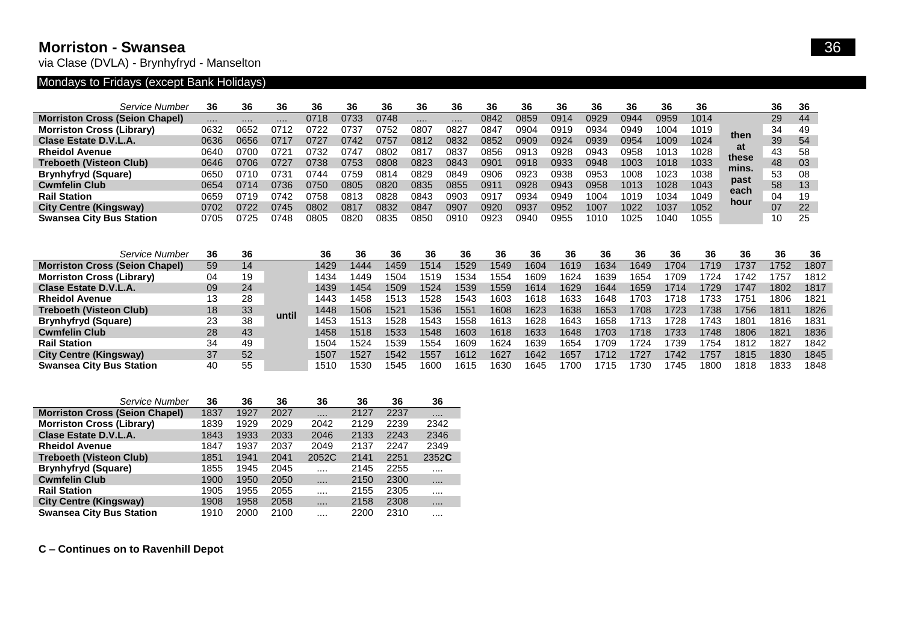### **Morriston - Swansea** 36

via Clase (DVLA) - Brynhyfryd - Manselton

# Mondays to Fridays (except Bank Holidays)

|                                       | Service Number | 36   | 36   | 36    | 36   | 36   | 36   | 36   | 36   | 36   | 36   | 36          | 36   | 36   | 36   | 36   |             | 36 | -36 |
|---------------------------------------|----------------|------|------|-------|------|------|------|------|------|------|------|-------------|------|------|------|------|-------------|----|-----|
| <b>Morriston Cross (Seion Chapel)</b> |                |      |      |       | 0718 | 0733 | 0748 |      |      | 0842 | 0859 | 0914        | 0929 | 0944 | 0959 | 1014 |             | 29 | 44  |
| <b>Morriston Cross (Library)</b>      |                | 0632 | 0652 | 0712  | 0722 | 0737 | 0752 | 0807 | 0827 | 0847 | 0904 | 0919        | 0934 | 0949 | 1004 | 1019 | then        | 34 | 49  |
| Clase Estate D.V.L.A.                 |                | 0636 | 0656 |       | 0727 | 0742 | 3757 | 0812 | 0832 | 0852 | 0909 | 0924        | 0939 | 0954 | 1009 | 1024 |             | 39 | 54  |
| <b>Rheidol Avenue</b>                 |                | 0640 | 0700 | 1721، | 0732 | 074  | ጋ802 | 081  | 083. | 0856 | 0913 | <b>0928</b> | 0943 | 0958 | 1013 | 1028 | at<br>these | 43 | 58  |
| <b>Treboeth (Visteon Club)</b>        |                | 0646 | 0706 | ገ727  | 0738 | 0753 | 3808 | 0823 | 0843 | 0901 | 0918 | 0933        | 0948 | 1003 | 1018 | 1033 |             | 48 | -03 |
| <b>Brynhyfryd (Square)</b>            |                | 0650 | 0710 | ງ731  | 0744 | 0759 | 0814 | 0829 | 0849 | 0906 | 0923 | <b>0938</b> | 0953 | 1008 | 1023 | 1038 | mins.       | 53 | 08  |
| <b>Cwmfelin Club</b>                  |                | 0654 | 0714 | ີ 736 | 0750 | 0805 | 0820 | 0835 | 0855 | 0911 | 0928 | 0943        | 0958 | 1013 | 1028 | 1043 | past        | 58 | 13  |
| <b>Rail Station</b>                   |                | 0659 | 0719 | ገ742  | 0758 | 0813 | 0828 | 0843 | 0903 | 0917 | 0934 | ን949        | 1004 | 1019 | 1034 | 1049 | each        | 04 | 19  |
| <b>City Centre (Kingsway)</b>         |                | 0702 | 0722 | 0745  | 0802 | 0817 | 0832 | 0847 | 0907 | 0920 | 0937 | 0952        | 1007 | 1022 | 1037 | 1052 | hour        | 07 | 22  |
| <b>Swansea City Bus Station</b>       |                | 0705 | 0725 | 0748  | 0805 | 0820 | 0835 | 0850 | 0910 | 0923 | 094C | ว955        | 1010 | 1025 | 1040 | 1055 |             | 10 | 25  |

| Service Number                        | 36 | 36 |       | 36   | 36   | 36   | 36   | 36   | 36   | 36   | 36   | 36   | 36   | 36   | 36   | 36   | 36   | 36   |
|---------------------------------------|----|----|-------|------|------|------|------|------|------|------|------|------|------|------|------|------|------|------|
| <b>Morriston Cross (Seion Chapel)</b> | 59 | 14 |       | 1429 | 1444 | 1459 | 1514 | 1529 | 1549 | 1604 | 1619 | 1634 | 1649 | 1704 | 1719 | 737  | 1752 | 1807 |
| <b>Morriston Cross (Library)</b>      | 04 | 19 |       | 1434 | 1449 | 1504 |      | 534  | 1554 | 1609 | 1624 | 1639 | 1654 | 709  | 724  | 742  | 1757 | 1812 |
| Clase Estate D.V.L.A.                 | 09 | 24 |       | 1439 | 1454 | 1509 | 1524 | 1539 | 1559 | 1614 | 1629 | 1644 | 1659 | 1714 | 1729 | 1747 | 1802 | 1817 |
| <b>Rheidol Avenue</b>                 | 13 | 28 |       | 1443 | 1458 | 1513 | 1528 | 1543 | 1603 | 1618 | 1633 | 1648 | 1703 | 1718 | 733  | 1751 | 1806 | 1821 |
| <b>Treboeth (Visteon Club)</b>        | 18 | 33 | until | 1448 | 1506 | 1521 | 1536 | 1551 | 1608 | 1623 | 1638 | 1653 | 1708 | 1723 | 738  | 1756 | 1811 | 1826 |
| <b>Brynhyfryd (Square)</b>            | 23 | 38 |       | 1453 | 1513 | 1528 | 1543 | 558  | 1613 | 1628 | 1643 | 1658 | 1713 | 728  | 743  | 1801 | 1816 | 1831 |
| <b>Cwmfelin Club</b>                  | 28 | 43 |       | 1458 | 1518 | 1533 | 1548 | 1603 | 1618 | 1633 | 1648 | 1703 | 1718 | 1733 | 1748 | 1806 | 1821 | 1836 |
| <b>Rail Station</b>                   | 34 | 49 |       | 1504 | 1524 | 1539 | 1554 | 1609 | 1624 | 1639 | 1654 | 1709 | 1724 | 739  | 754  | 1812 | 1827 | 1842 |
| <b>City Centre (Kingsway)</b>         | 37 | 52 |       | 1507 | 1527 | 1542 | 1557 | 1612 | 1627 | 1642 | 1657 | 1712 | 1727 | 1742 | 1757 | 1815 | 1830 | 1845 |
| <b>Swansea City Bus Station</b>       | 40 | 55 |       | 1510 | 1530 | 1545 | 1600 | 1615 | 1630 | 1645 | 1700 | 715  | 1730 | 1745 | 1800 | 1818 | 1833 | 1848 |

|                                       | Service Number<br>36 | 36   | 36   | 36    | 36   | 36   | 36       |
|---------------------------------------|----------------------|------|------|-------|------|------|----------|
| <b>Morriston Cross (Seion Chapel)</b> | 1837                 | 1927 | 2027 |       | 2127 | 2237 | $\cdots$ |
| <b>Morriston Cross (Library)</b>      | 1839                 | 1929 | 2029 | 2042  | 2129 | 2239 | 2342     |
| Clase Estate D.V.L.A.                 | 1843                 | 1933 | 2033 | 2046  | 2133 | 2243 | 2346     |
| <b>Rheidol Avenue</b>                 | 1847                 | 1937 | 2037 | 2049  | 2137 | 2247 | 2349     |
| <b>Treboeth (Visteon Club)</b>        | 1851                 | 1941 | 2041 | 2052C | 2141 | 2251 | 2352C    |
| <b>Brynhyfryd (Square)</b>            | 1855                 | 1945 | 2045 | .     | 2145 | 2255 |          |
| <b>Cwmfelin Club</b>                  | 1900                 | 1950 | 2050 |       | 2150 | 2300 |          |
| <b>Rail Station</b>                   | 1905                 | 1955 | 2055 |       | 2155 | 2305 |          |
| <b>City Centre (Kingsway)</b>         | 1908                 | 1958 | 2058 |       | 2158 | 2308 |          |
| <b>Swansea City Bus Station</b>       | 1910                 | 2000 | 2100 | .     | 2200 | 2310 |          |

**C – Continues on to Ravenhill Depot**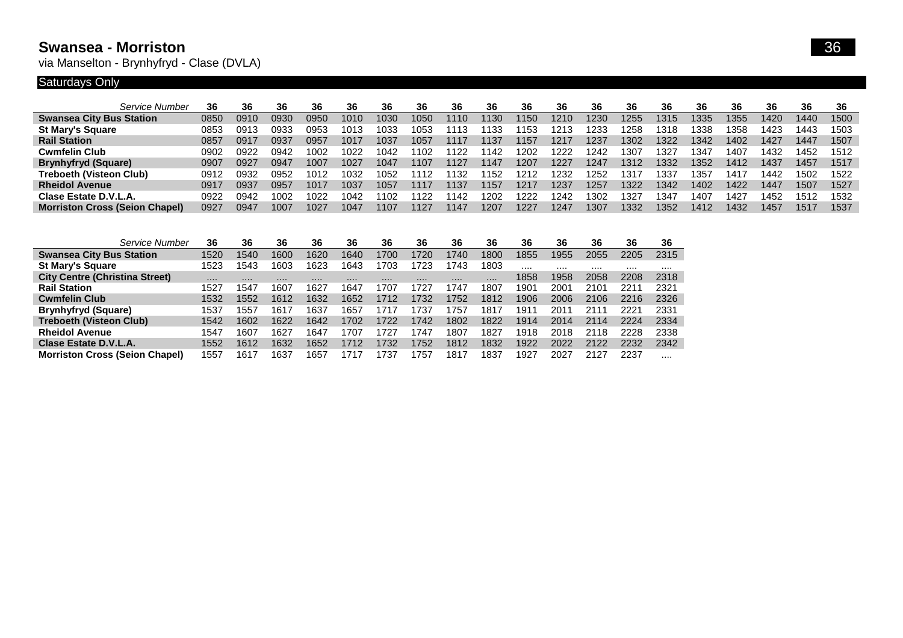### **Swansea - Morriston** 36

via Manselton - Brynhyfryd - Clase (DVLA)

## Saturdays Only

| Service Number                        | 36   | 36   | 36   | 36   | 36   | 36   | 36   | 36   | 36   | 36   | 36   | 36   | 36   | 36   | 36   | 36   | 36   | 36   | 36   |
|---------------------------------------|------|------|------|------|------|------|------|------|------|------|------|------|------|------|------|------|------|------|------|
| <b>Swansea City Bus Station</b>       | 0850 | 0910 | 0930 | ገ950 | 1010 | 1030 | 1050 | 1110 | 1130 | 1150 | 1210 | 1230 | 1255 | 1315 | 1335 | 1355 | 1420 | 1440 | 1500 |
| <b>St Mary's Square</b>               | 0853 | 0913 | 0933 | ን953 | 1013 | 1033 | 1053 | 113  | 133  | 1153 | 1213 | 1233 | 258  | 1318 | 1338 | 1358 | 1423 | 1443 | 1503 |
| <b>Rail Station</b>                   | 0857 | 0917 | 0937 | 0957 | 1017 | 1037 | 1057 | 1117 | 1137 | 1157 | 1217 | 1237 | 1302 | 1322 | 1342 | 1402 | 1427 | 1447 | 1507 |
| <b>Cwmfelin Club</b>                  | 0902 | 0922 | 0942 | 1002 | 1022 | 1042 | 102  | 122  | 1142 | 1202 | 1222 | 1242 | 1307 | 1327 | 347  | 1407 | 1432 | 1452 | 1512 |
| <b>Brynhyfryd (Square)</b>            | 0907 | 0927 | 0947 | 1007 | 1027 | 1047 | 1107 | 1127 | 1147 | 1207 | 1227 | 1247 | 1312 | 1332 | 1352 | 1412 | 1437 | 1457 | 1517 |
| <b>Treboeth (Visteon Club)</b>        | 0912 | 0932 | 0952 | 1012 | 1032 | 1052 | 1112 | 132  | 1152 | 1212 | 1232 | 1252 | 131. | 1337 | '357 | 1417 | 1442 | 1502 | 1522 |
| <b>Rheidol Avenue</b>                 | 0917 | 0937 | 0957 | 1017 | 1037 | 1057 | 1117 | 1137 | 1157 | 1217 | 1237 | 1257 | 1322 | 1342 | 1402 | 1422 | 1447 | 1507 | 1527 |
| Clase Estate D.V.L.A.                 | 0922 | 0942 | 1002 | 1022 | 1042 | 1102 | -122 | 142  | 1202 | 1222 | 1242 | 1302 | 132. | 1347 | 1407 | 1427 | 1452 | 1512 | 1532 |
| <b>Morriston Cross (Seion Chapel)</b> | 0927 | 0947 | 1007 | 1027 | 1047 | 1107 | 1127 | 1147 | 1207 | 1227 | 1247 | 1307 | 1332 | 1352 | 1412 | 1432 | 1457 | 1517 | 1537 |
|                                       |      |      |      |      |      |      |      |      |      |      |      |      |      |      |      |      |      |      |      |

| Service Number                        | 36   | 36   | 36   | 36   | 36   | 36   | 36   | 36   | 36   | 36   | 36   | 36            | 36   | 36   |
|---------------------------------------|------|------|------|------|------|------|------|------|------|------|------|---------------|------|------|
| <b>Swansea City Bus Station</b>       | 1520 | 1540 | 1600 | 1620 | 1640 | 1700 | 720  | 1740 | 1800 | 1855 | 1955 | 2055          | 2205 | 2315 |
| <b>St Mary's Square</b>               | 1523 | 1543 | 1603 | 1623 | 1643 | 1703 | 1723 | 1743 | 1803 |      |      |               |      |      |
| <b>City Centre (Christina Street)</b> |      |      |      |      |      |      |      |      |      | 1858 | 1958 | 2058          | 2208 | 2318 |
| <b>Rail Station</b>                   | 1527 | 1547 | 1607 | 1627 | 1647 | 1707 | 727، | 747  | 1807 | 1901 | 2001 | 2101          | 2211 | 2321 |
| <b>Cwmfelin Club</b>                  | 1532 | 1552 | 1612 | 1632 | 1652 | 1712 | 732  | 1752 | 1812 | 1906 | 2006 | 2106          | 2216 | 2326 |
| <b>Brynhyfryd (Square)</b>            | 1537 | 1557 | 1617 | 1637 | 1657 | 1717 | 737، | 757  | 1817 | 1911 | 2011 | $211^{\circ}$ | 2221 | 2331 |
| <b>Treboeth (Visteon Club)</b>        | 1542 | 1602 | 1622 | 1642 | 1702 | 1722 | 1742 | 1802 | 1822 | 1914 | 2014 | 2114          | 2224 | 2334 |
| <b>Rheidol Avenue</b>                 | 1547 | 1607 | 1627 | 1647 | 1707 | 1727 | 1747 | 1807 | 1827 | 1918 | 2018 | 2118          | 2228 | 2338 |
| Clase Estate D.V.L.A.                 | 1552 | 1612 | 1632 | 1652 | 1712 | 1732 | 1752 | 1812 | 1832 | 1922 | 2022 | 2122          | 2232 | 2342 |
| <b>Morriston Cross (Seion Chapel)</b> | 1557 | 1617 | 1637 | 1657 | 1717 | 1737 | 757  | 1817 | 1837 | 1927 | 2027 | 2127          | 2237 | .    |